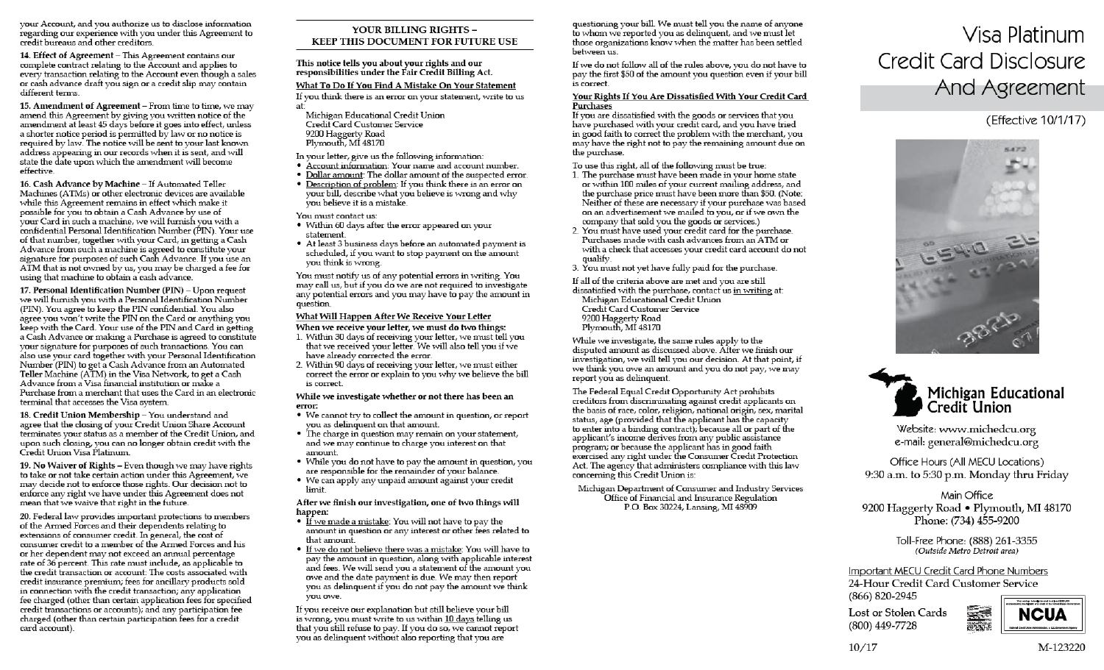your Account, and you authorize us to disclose information regarding our experience with you under this Agreement to credit bureaus and other creditors.

14. Effect of Agreement - This Agreement contains our complete contract relating to the Account and applies to every transaction relating to the Account even though a sales or cash advance draft you sign or a credit slip may contain different terms.

15. Amendment of Agreement - From time to time, we may amend this Agreement by giving you written notice of the amendment at least 45 days before it goes into effect, unless a shorter notice period is permitted by law or no notice is required by law. The notice will be sent to your last known address appearing in our records when it is sent, and will state the date upon which the amendment will become effective.

16. Cash Advance by Machine - If Automated Teller Machines (ATMs) or other electronic devices are available while this Agreement remains in effect which make it possible for you to obtain a Cash Advance by use of your Card in such a machine, we will furnish you with a confidential Personal Identification Number (PIN). Your use of that number, together with your Card, in getting a Cash Advance from such a machine is agreed to constitute your signature for purposes of such Cash Advance. If you use an ATM that is not owned by us, you may be charged a fee for using that machine to obtain a cash advance.

17. Personal Identification Number (PIN) - Upon request we will furnish you with a Personal Identification Number (PIN). You agree to keep the PIN confidential. You also agree you won't write the PIN on the Card or anything you keep with the Card. Your use of the PIN and Card in getting a Cash Advance or making a Purchase is agreed to constitute your signature for purposes of such transactions. You can also use your card together with your Personal Identification Number (PIN) to get a Cash Advance from an Automated Teller Machine (ATM) in the Visa Network, to get a Cash Advance from a Visa financial institution or make a Purchase from a merchant that uses the Card in an electronic terminal that accesses the Visa system.

18. Credit Union Membership - You understand and agree that the closing of your Credit Union Share Account terminates your status as a member of the Credit Union, and upon such closing, you can no longer obtain credit with the Credit Union Visa Platinum.

19. No Waiver of Rights - Even though we may have rights to take or not take certain action under this Agreement, we may decide not to enforce those rights. Our decision not to enforce any right we have under this Agreement does not mean that we waive that right in the future.

20. Federal law provides important protections to members of the Armed Forces and their dependents relating to extensions of consumer credit. In general, the cost of consumer credit to a member of the Armed Forces and his or her dependent may not exceed an annual percentage rate of 36 percent. This rate must include, as applicable to the credit transaction or account: The costs associated with credit insurance premium; fees for ancillary products sold in connection with the credit transaction; any application fee charged (other than certain application fees for specified credit transactions or accounts), and any participation fee charged (other than certain participation fees for a credit card account).

### YOUR BILLING RIGHTS -**KEEP THIS DOCUMENT FOR FUTURE USE**

This notice tells vou about vour rights and our responsibilities under the Fair Credit Billing Act.

### What To Do If You Find A Mistake On Your Statement

If you think there is an error on your statement, write to us at<sup>-</sup>

- Michigan Educational Credit Union Credit Card Customer Service 9200 Haggerty Road Plymouth, MI 48170
- In your letter, give us the following information:
- Account information: Your name and account number.
- . Dollar amount: The dollar amount of the suspected error.
- Description of problem: If you think there is an error on your bill, describe what you believe is wrong and why vou believe it is a mistake.

### You must contact us:

- Within 60 days after the error appeared on your statement.
- At least 3 business days before an automated payment is scheduled, if you want to stop payment on the amount vou think is wrong.

You must notify us of any potential errors in writing. You may call us, but if you do we are not required to investigate any potential errors and you may have to pay the amount in question.

### What Will Happen After We Receive Your Letter

When we receive your letter, we must do two things:

- 1. Within 30 days of receiving your letter, we must tell you that we received your letter. We will also tell you if we have already corrected the error.
- 2. Within 90 days of receiving your letter, we must either correct the error or explain to you why we believe the bill is correct.

#### While we investigate whether or not there has been an error:

- We cannot try to collect the amount in question, or report vou as delinquent on that amount.
- The charge in question may remain on your statement, and we may continue to charge you interest on that amount.
- While you do not have to pay the amount in question, you are responsible for the remainder of your balance.
- We can apply any unpaid amount against your credit limit.

After we finish our investigation, one of two things will happen:

- If we made a mistake: You will not have to pay the amount in question or any interest or other fees related to that amount.
- . If we do not believe there was a mistake: You will have to pay the amount in question, along with applicable interest and fees. We will send you a statement of the amount you owe and the date payment is due. We may then report you as delinquent if you do not pay the amount we think vou owe.

If you receive our explanation but still believe your bill is wrong, you must write to us within 10 days telling us that you still refuse to pay. If you do so, we cannot report you as delinquent without also reporting that you are

questioning your bill. We must tell you the name of anyone to whom we reported you as delinguent, and we must let those organizations know when the matter has been settled hetween us

If we do not follow all of the rules above, you do not have to pay the first \$50 of the amount you question even if your bill is correct.

### Your Rights If You Are Dissatisfied With Your Credit Card Purchases

If you are dissatisfied with the goods or services that you have purchased with your credit card, and you have tried in good faith to correct the problem with the merchant, you may have the right not to pay the remaining amount due on the purchase.

To use this right, all of the following must be true:

- 1. The purchase must have been made in your home state or within 100 miles of your current mailing address, and the purchase price must have been more than \$50. (Note: Neither of these are necessary if your purchase was based on an advertisement we mailed to you, or if we own the company that sold you the goods or services.)
- 2. You must have used your credit card for the purchase. Purchases made with cash advances from an ATM or with a check that accesses your credit card account do not qualify.
- 3. You must not yet have fully paid for the purchase.

If all of the criteria above are met and you are still

dissatisfied with the purchase, contact us in writing at: Michigan Educational Credit Union Credit Card Customer Service 9200 Haggerty Road<br>Plymouth, MI 48170

While we investigate, the same rules apply to the disputed amount as discussed above. After we finish our investigation, we will tell you our decision. At that point, if we think you owe an amount and you do not pay, we may report you as delinquent.

The Federal Equal Credit Opportunity Act prohibits creditors from discriminating against credit applicants on the basis of race, color, religion, national origin, sex, marital status, age (provided that the applicant has the capacity to enter into a binding contract); because all or part of the applicant's income derives from any public assistance program; or because the applicant has in good faith exercised any right under the Consumer Credit Protection Act. The agency that administers compliance with this law concerning this Credit Union is:

Michigan Department of Consumer and Industry Services Office of Financial and Insurance Regulation P.O. Box 30224, Lansing, MI 48909

# Visa Platinum **Credit Card Disclosure** And Agreement

# (Effective 10/1/17)





Website: www.michedcu.org e-mail: general@michedcu.org

Office Hours (All MECU Locations) 9:30 a.m. to 5:30 p.m. Monday thru Friday

## Main Office 9200 Haggerty Road • Plymouth, MI 48170 Phone: (734) 455-9200

Toll-Free Phone: (888) 261-3355 (Outside Metro Detroit area)

Important MECU Credit Card Phone Numbers 24-Hour Credit Card Customer Service (866) 820-2945

Lost or Stolen Cards (800) 449-7728



 $10/17$ 

M-123220